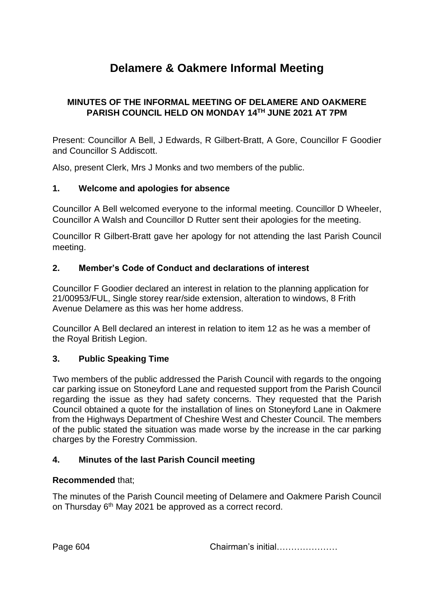# **Delamere & Oakmere Informal Meeting**

# **MINUTES OF THE INFORMAL MEETING OF DELAMERE AND OAKMERE PARISH COUNCIL HELD ON MONDAY 14TH JUNE 2021 AT 7PM**

Present: Councillor A Bell, J Edwards, R Gilbert-Bratt, A Gore, Councillor F Goodier and Councillor S Addiscott.

Also, present Clerk, Mrs J Monks and two members of the public.

## **1. Welcome and apologies for absence**

Councillor A Bell welcomed everyone to the informal meeting. Councillor D Wheeler, Councillor A Walsh and Councillor D Rutter sent their apologies for the meeting.

Councillor R Gilbert-Bratt gave her apology for not attending the last Parish Council meeting.

## **2. Member's Code of Conduct and declarations of interest**

Councillor F Goodier declared an interest in relation to the planning application for 21/00953/FUL, Single storey rear/side extension, alteration to windows, 8 Frith Avenue Delamere as this was her home address.

Councillor A Bell declared an interest in relation to item 12 as he was a member of the Royal British Legion.

#### **3. Public Speaking Time**

Two members of the public addressed the Parish Council with regards to the ongoing car parking issue on Stoneyford Lane and requested support from the Parish Council regarding the issue as they had safety concerns. They requested that the Parish Council obtained a quote for the installation of lines on Stoneyford Lane in Oakmere from the Highways Department of Cheshire West and Chester Council. The members of the public stated the situation was made worse by the increase in the car parking charges by the Forestry Commission.

# **4. Minutes of the last Parish Council meeting**

#### **Recommended** that;

The minutes of the Parish Council meeting of Delamere and Oakmere Parish Council on Thursday 6<sup>th</sup> May 2021 be approved as a correct record.

Page 604 Chairman's initial…………………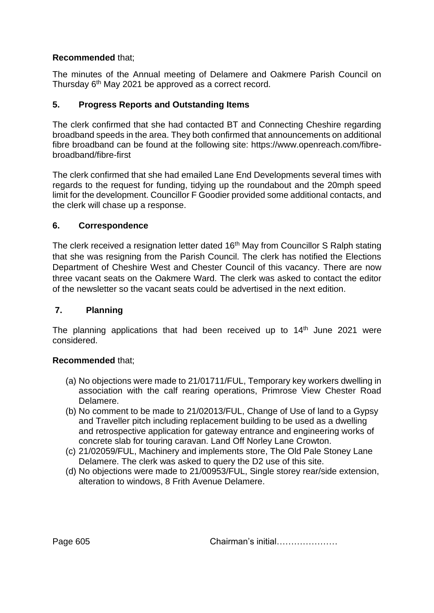# **Recommended** that;

The minutes of the Annual meeting of Delamere and Oakmere Parish Council on Thursday 6th May 2021 be approved as a correct record.

# **5. Progress Reports and Outstanding Items**

The clerk confirmed that she had contacted BT and Connecting Cheshire regarding broadband speeds in the area. They both confirmed that announcements on additional fibre broadband can be found at the following site: [https://www.openreach.com/fibre](https://www.openreach.com/fibre-broadband/fibre-first)[broadband/fibre-first](https://www.openreach.com/fibre-broadband/fibre-first)

The clerk confirmed that she had emailed Lane End Developments several times with regards to the request for funding, tidying up the roundabout and the 20mph speed limit for the development. Councillor F Goodier provided some additional contacts, and the clerk will chase up a response.

# **6. Correspondence**

The clerk received a resignation letter dated 16<sup>th</sup> May from Councillor S Ralph stating that she was resigning from the Parish Council. The clerk has notified the Elections Department of Cheshire West and Chester Council of this vacancy. There are now three vacant seats on the Oakmere Ward. The clerk was asked to contact the editor of the newsletter so the vacant seats could be advertised in the next edition.

# **7. Planning**

The planning applications that had been received up to 14<sup>th</sup> June 2021 were considered.

# **Recommended** that;

- (a) No objections were made to 21/01711/FUL, Temporary key workers dwelling in association with the calf rearing operations, Primrose View Chester Road Delamere.
- (b) No comment to be made to 21/02013/FUL, Change of Use of land to a Gypsy and Traveller pitch including replacement building to be used as a dwelling and retrospective application for gateway entrance and engineering works of concrete slab for touring caravan. Land Off Norley Lane Crowton.
- (c) 21/02059/FUL, Machinery and implements store, The Old Pale Stoney Lane Delamere. The clerk was asked to query the D2 use of this site.
- (d) No objections were made to 21/00953/FUL, Single storey rear/side extension, alteration to windows, 8 Frith Avenue Delamere.

Page 605 **Chairman's initial………………**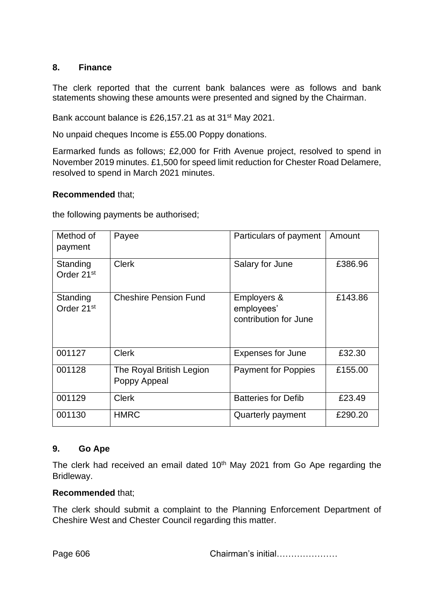## **8. Finance**

The clerk reported that the current bank balances were as follows and bank statements showing these amounts were presented and signed by the Chairman.

Bank account balance is £26,157.21 as at 31<sup>st</sup> May 2021.

No unpaid cheques Income is £55.00 Poppy donations.

Earmarked funds as follows; £2,000 for Frith Avenue project, resolved to spend in November 2019 minutes. £1,500 for speed limit reduction for Chester Road Delamere, resolved to spend in March 2021 minutes.

## **Recommended** that;

the following payments be authorised;

| Method of<br>payment               | Payee                                    | Particulars of payment                             | Amount  |
|------------------------------------|------------------------------------------|----------------------------------------------------|---------|
| Standing<br>Order 21 <sup>st</sup> | <b>Clerk</b>                             | Salary for June                                    | £386.96 |
| Standing<br>Order 21 <sup>st</sup> | <b>Cheshire Pension Fund</b>             | Employers &<br>employees'<br>contribution for June | £143.86 |
| 001127                             | <b>Clerk</b>                             | <b>Expenses for June</b>                           | £32.30  |
| 001128                             | The Royal British Legion<br>Poppy Appeal | <b>Payment for Poppies</b>                         | £155.00 |
| 001129                             | <b>Clerk</b>                             | <b>Batteries for Defib</b>                         | £23.49  |
| 001130                             | <b>HMRC</b>                              | Quarterly payment                                  | £290.20 |

#### **9. Go Ape**

The clerk had received an email dated 10<sup>th</sup> May 2021 from Go Ape regarding the Bridleway.

#### **Recommended** that;

The clerk should submit a complaint to the Planning Enforcement Department of Cheshire West and Chester Council regarding this matter.

Page 606 **Chairman's initial…………………**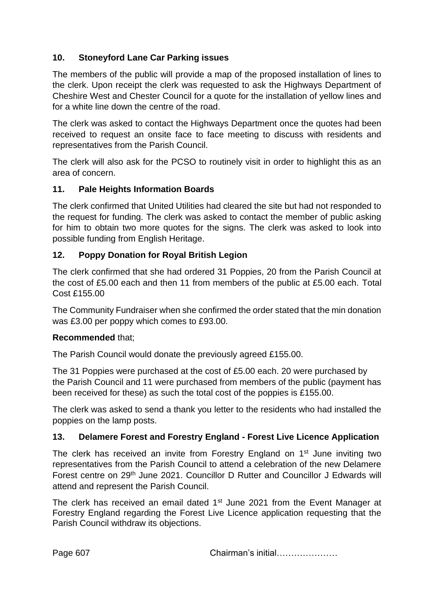# **10. Stoneyford Lane Car Parking issues**

The members of the public will provide a map of the proposed installation of lines to the clerk. Upon receipt the clerk was requested to ask the Highways Department of Cheshire West and Chester Council for a quote for the installation of yellow lines and for a white line down the centre of the road.

The clerk was asked to contact the Highways Department once the quotes had been received to request an onsite face to face meeting to discuss with residents and representatives from the Parish Council.

The clerk will also ask for the PCSO to routinely visit in order to highlight this as an area of concern.

# **11. Pale Heights Information Boards**

The clerk confirmed that United Utilities had cleared the site but had not responded to the request for funding. The clerk was asked to contact the member of public asking for him to obtain two more quotes for the signs. The clerk was asked to look into possible funding from English Heritage.

## **12. Poppy Donation for Royal British Legion**

The clerk confirmed that she had ordered 31 Poppies, 20 from the Parish Council at the cost of £5.00 each and then 11 from members of the public at £5.00 each. Total Cost £155.00

The Community Fundraiser when she confirmed the order stated that the min donation was £3.00 per poppy which comes to £93.00.

#### **Recommended** that;

The Parish Council would donate the previously agreed £155.00.

The 31 Poppies were purchased at the cost of £5.00 each. 20 were purchased by the Parish Council and 11 were purchased from members of the public (payment has been received for these) as such the total cost of the poppies is £155.00.

The clerk was asked to send a thank you letter to the residents who had installed the poppies on the lamp posts.

# **13. Delamere Forest and Forestry England - Forest Live Licence Application**

The clerk has received an invite from Forestry England on 1<sup>st</sup> June inviting two representatives from the Parish Council to attend a celebration of the new Delamere Forest centre on 29th June 2021. Councillor D Rutter and Councillor J Edwards will attend and represent the Parish Council.

The clerk has received an email dated 1<sup>st</sup> June 2021 from the Event Manager at Forestry England regarding the Forest Live Licence application requesting that the Parish Council withdraw its objections.

Page 607 Chairman's initial…………………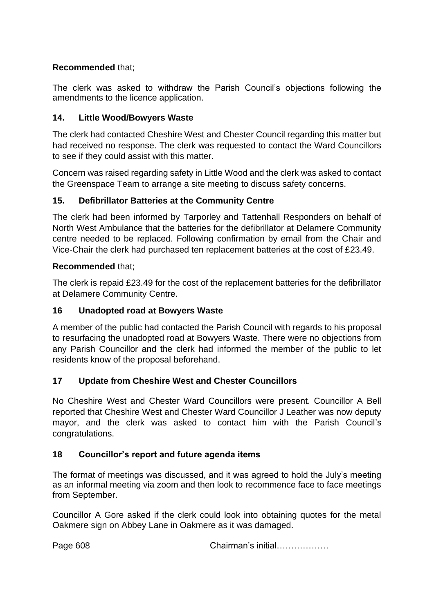# **Recommended** that;

The clerk was asked to withdraw the Parish Council's objections following the amendments to the licence application.

# **14. Little Wood/Bowyers Waste**

The clerk had contacted Cheshire West and Chester Council regarding this matter but had received no response. The clerk was requested to contact the Ward Councillors to see if they could assist with this matter.

Concern was raised regarding safety in Little Wood and the clerk was asked to contact the Greenspace Team to arrange a site meeting to discuss safety concerns.

# **15. Defibrillator Batteries at the Community Centre**

The clerk had been informed by Tarporley and Tattenhall Responders on behalf of North West Ambulance that the batteries for the defibrillator at Delamere Community centre needed to be replaced. Following confirmation by email from the Chair and Vice-Chair the clerk had purchased ten replacement batteries at the cost of £23.49.

## **Recommended** that;

The clerk is repaid £23.49 for the cost of the replacement batteries for the defibrillator at Delamere Community Centre.

# **16 Unadopted road at Bowyers Waste**

A member of the public had contacted the Parish Council with regards to his proposal to resurfacing the unadopted road at Bowyers Waste. There were no objections from any Parish Councillor and the clerk had informed the member of the public to let residents know of the proposal beforehand.

# **17 Update from Cheshire West and Chester Councillors**

No Cheshire West and Chester Ward Councillors were present. Councillor A Bell reported that Cheshire West and Chester Ward Councillor J Leather was now deputy mayor, and the clerk was asked to contact him with the Parish Council's congratulations.

# **18 Councillor's report and future agenda items**

The format of meetings was discussed, and it was agreed to hold the July's meeting as an informal meeting via zoom and then look to recommence face to face meetings from September.

Councillor A Gore asked if the clerk could look into obtaining quotes for the metal Oakmere sign on Abbey Lane in Oakmere as it was damaged.

Page 608 Chairman's initial………………